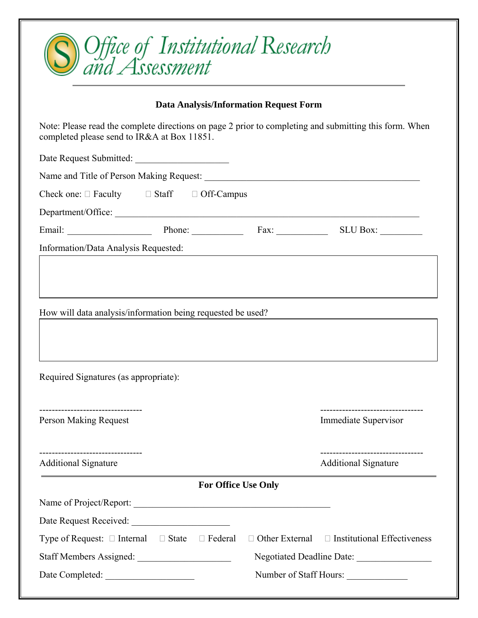| ) Office of Institutional Research<br>and Assessment                                                                                                  |                |  |                                                                 |
|-------------------------------------------------------------------------------------------------------------------------------------------------------|----------------|--|-----------------------------------------------------------------|
| <b>Data Analysis/Information Request Form</b>                                                                                                         |                |  |                                                                 |
| Note: Please read the complete directions on page 2 prior to completing and submitting this form. When<br>completed please send to IR&A at Box 11851. |                |  |                                                                 |
| Date Request Submitted:                                                                                                                               |                |  |                                                                 |
|                                                                                                                                                       |                |  |                                                                 |
| Check one: $\Box$ Faculty $\Box$ Staff $\Box$ Off-Campus                                                                                              |                |  |                                                                 |
|                                                                                                                                                       |                |  |                                                                 |
| Email: Phone: Fax: SLU Box: SLU Box:                                                                                                                  |                |  |                                                                 |
| Information/Data Analysis Requested:                                                                                                                  |                |  | <u> 1980 - Andrea Andrew Maria (h. 1980).</u>                   |
| How will data analysis/information being requested be used?<br>Required Signatures (as appropriate):                                                  |                |  |                                                                 |
|                                                                                                                                                       |                |  |                                                                 |
| <b>Person Making Request</b>                                                                                                                          |                |  | <b>Immediate Supervisor</b>                                     |
| <b>Additional Signature</b>                                                                                                                           |                |  | --------------------------------<br><b>Additional Signature</b> |
| <b>For Office Use Only</b>                                                                                                                            |                |  |                                                                 |
|                                                                                                                                                       |                |  |                                                                 |
|                                                                                                                                                       |                |  |                                                                 |
| Type of Request: $\Box$ Internal $\Box$ State                                                                                                         | $\Box$ Federal |  | $\Box$ Other External $\Box$ Institutional Effectiveness        |
|                                                                                                                                                       |                |  |                                                                 |
| Number of Staff Hours:                                                                                                                                |                |  |                                                                 |